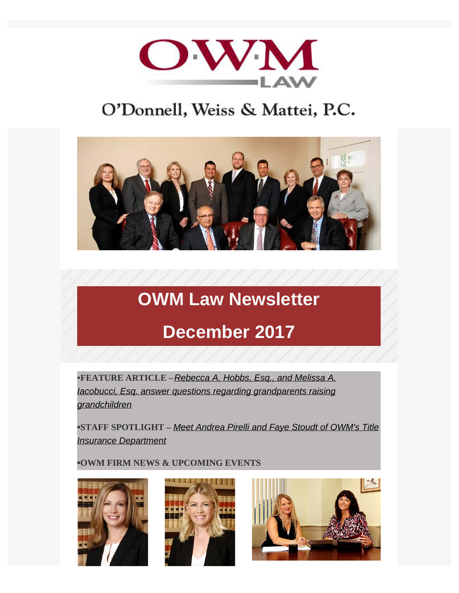

## O'Donnell, Weiss & Mattei, P.C.



# **OWM Law Newsletter**

## **December 2017**

▪**FEATURE ARTICLE –***[Rebecca A. Hobbs, Esq., and Melissa A.](http://www.owmlaw.com/blog/owm-blog-grandparents-raising-grandchildren/) [Iacobucci, Esq. answer questions regarding grandparents raising](http://www.owmlaw.com/blog/owm-blog-grandparents-raising-grandchildren/) [grandchildren](http://www.owmlaw.com/blog/owm-blog-grandparents-raising-grandchildren/)*

**▪STAFF SPOTLIGHT –** *[Meet Andrea Pirelli and Faye Stoudt of OWM's Title](http://www.owmlaw.com/blog/staff-spotlight-andrea-m-pirelli-faye-m-stoudt-dec-2017/) [Insurance Department](http://www.owmlaw.com/blog/staff-spotlight-andrea-m-pirelli-faye-m-stoudt-dec-2017/)*

**▪OWM FIRM NEWS & UPCOMING EVENTS**





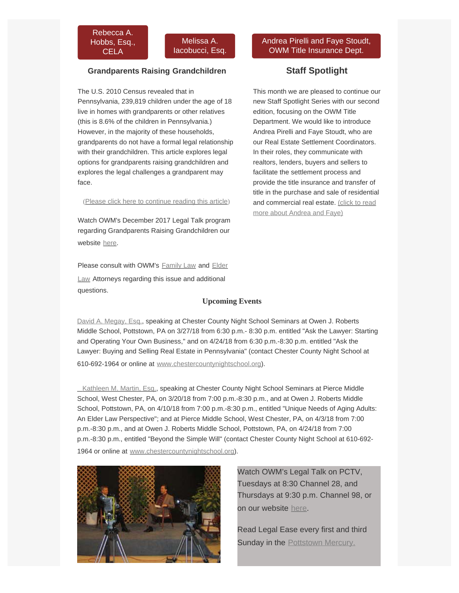

#### **Grandparents Raising Grandchildren**

The U.S. 2010 Census revealed that in Pennsylvania, 239,819 children under the age of 18 live in homes with grandparents or other relatives (this is 8.6% of the children in Pennsylvania.) However, in the majority of these households, grandparents do not have a formal legal relationship with their grandchildren. This article explores legal options for grandparents raising grandchildren and explores the legal challenges a grandparent may face.

(Please click here [to continue reading this article](http://www.owmlaw.com/blog/owm-blog-grandparents-raising-grandchildren/))

Watch OWM's December 2017 Legal Talk program regarding Grandparents Raising Grandchildren our website [here.](http://www.owmlaw.com/resources/legal-talk/)

Please consult with OWM's [Family Law](http://www.owmlaw.com/areas-of-practice/family-law/) and [Elder](http://www.owmlaw.com/areas-of-practice/elder-law/)

[Law](http://www.owmlaw.com/areas-of-practice/elder-law/) Attorneys regarding this issue and additional questions.

#### **Upcoming Events**

[David A. Megay, Esq.](http://www.owmlaw.com/attorneys/david-a-megay/), speaking at Chester County Night School Seminars at Owen J. Roberts Middle School, Pottstown, PA on 3/27/18 from 6:30 p.m.- 8:30 p.m. entitled "Ask the Lawyer: Starting and Operating Your Own Business," and on 4/24/18 from 6:30 p.m.-8:30 p.m. entitled "Ask the Lawyer: Buying and Selling Real Estate in Pennsylvania" (contact Chester County Night School at 610-692-1964 or online at [www.chestercountynightschool.org](http://www.chestercountynightschool.org/)).

[Kathleen M. Martin, Esq.](http://www.owmlaw.com/attorneys/kathleen-m-martin/), speaking at Chester County Night School Seminars at Pierce Middle School, West Chester, PA, on 3/20/18 from 7:00 p.m.-8:30 p.m., and at Owen J. Roberts Middle School, Pottstown, PA, on 4/10/18 from 7:00 p.m.-8:30 p.m., entitled "Unique Needs of Aging Adults: An Elder Law Perspective"; and at Pierce Middle School, West Chester, PA, on 4/3/18 from 7:00 p.m.-8:30 p.m., and at Owen J. Roberts Middle School, Pottstown, PA, on 4/24/18 from 7:00 p.m.-8:30 p.m., entitled "Beyond the Simple Will" (contact Chester County Night School at 610-692 1964 or online at [www.chestercountynightschool.org](http://www.chestercountynightschool.org/)).



Watch OWM's Legal Talk on PCTV, Tuesdays at 8:30 Channel 28, and Thursdays at 9:30 p.m. Channel 98, or on our website [here](http://www.owmlaw.com/resources/legal-talk/).

Read Legal Ease every first and third Sunday in the **[Pottstown Mercury.](http://www.pottsmerc.com/)** 

#### [Andrea Pirelli and Faye Stoudt,](http://www.owmlaw.com/areas-of-practice/real-estate/title-insurance/) [OWM Title Insurance Dept.](http://www.owmlaw.com/areas-of-practice/real-estate/title-insurance/)

### **Staff Spotlight**

This month we are pleased to continue our new Staff Spotlight Series with our second edition, focusing on the OWM Title Department. We would like to introduce Andrea Pirelli and Faye Stoudt, who are our Real Estate Settlement Coordinators. In their roles, they communicate with realtors, lenders, buyers and sellers to facilitate the settlement process and provide the title insurance and transfer of title in the purchase and sale of residential and commercial real estate. [\(click to read](http://www.owmlaw.com/blog/staff-spotlight-andrea-m-pirelli-faye-m-stoudt-dec-2017/) [more about Andrea and Faye\)](http://www.owmlaw.com/blog/staff-spotlight-andrea-m-pirelli-faye-m-stoudt-dec-2017/)